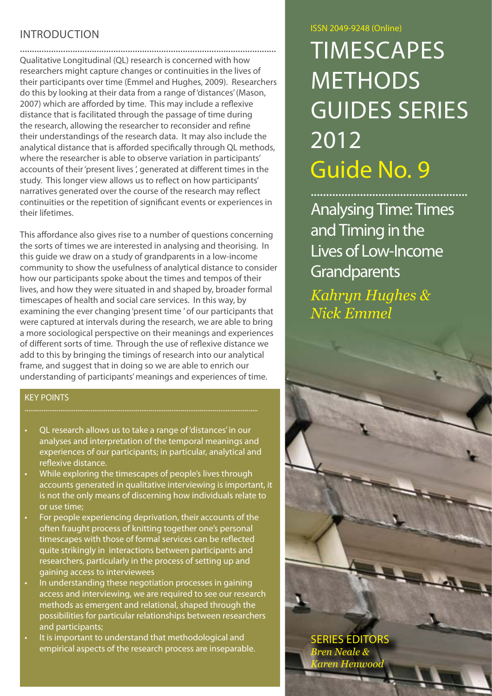# **INTRODUCTION**

........................................................................................................... Qualitative Longitudinal (QL) research is concerned with how researchers might capture changes or continuities in the lives of their participants over time (Emmel and Hughes, 2009). Researchers do this by looking at their data from a range of 'distances' (Mason, 2007) which are afforded by time. This may include a reflexive distance that is facilitated through the passage of time during the research, allowing the researcher to reconsider and refine their understandings of the research data. It may also include the analytical distance that is afforded specifically through QL methods, where the researcher is able to observe variation in participants' accounts of their 'present lives ', generated at different times in the study. This longer view allows us to reflect on how participants' narratives generated over the course of the research may reflect continuities or the repetition of significant events or experiences in their lifetimes.

This affordance also gives rise to a number of questions concerning the sorts of times we are interested in analysing and theorising. In this guide we draw on a study of grandparents in a low-income community to show the usefulness of analytical distance to consider how our participants spoke about the times and tempos of their lives, and how they were situated in and shaped by, broader formal timescapes of health and social care services. In this way, by examining the ever changing 'present time ' of our participants that were captured at intervals during the research, we are able to bring a more sociological perspective on their meanings and experiences of different sorts of time. Through the use of reflexive distance we add to this by bringing the timings of research into our analytical frame, and suggest that in doing so we are able to enrich our understanding of participants' meanings and experiences of time.

#### KEY POINTS

- QL research allows us to take a range of 'distances' in our analyses and interpretation of the temporal meanings and experiences of our participants; in particular, analytical and reflexive distance.
- While exploring the timescapes of people's lives through accounts generated in qualitative interviewing is important, it is not the only means of discerning how individuals relate to or use time;
- For people experiencing deprivation, their accounts of the often fraught process of knitting together one's personal timescapes with those of formal services can be reflected quite strikingly in interactions between participants and researchers, particularly in the process of setting up and gaining access to interviewees
- In understanding these negotiation processes in gaining access and interviewing, we are required to see our research methods as emergent and relational, shaped through the possibilities for particular relationships between researchers and participants;
- It is important to understand that methodological and empirical aspects of the research process are inseparable.

#### ISSN 2049-9248 (Online)

# **TIMESCAPES METHODS** Guides Series 2012 Guide No. 9

...................................................

Analysing Time: Times and Timing in the Lives of Low-Income **Grandparents** *Kahryn Hughes & Nick Emmel*

Series Editors *Bren Neale & Karen Henwood*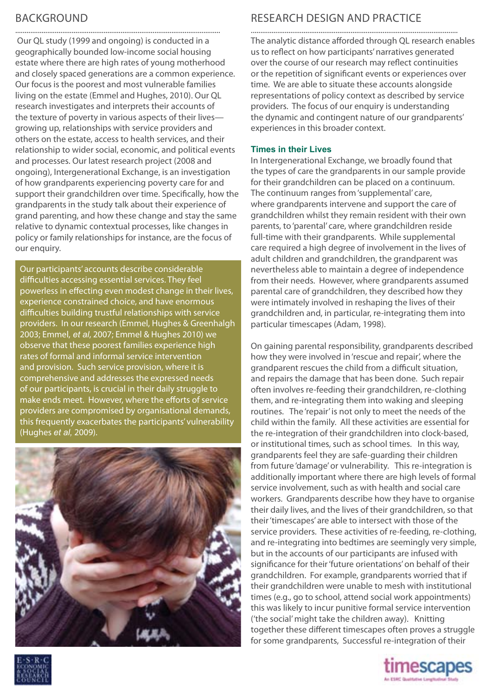# **BACKGROUND**

Our QL study (1999 and ongoing) is conducted in a geographically bounded low-income social housing estate where there are high rates of young motherhood and closely spaced generations are a common experience. Our focus is the poorest and most vulnerable families living on the estate (Emmel and Hughes, 2010). Our QL research investigates and interprets their accounts of the texture of poverty in various aspects of their lives growing up, relationships with service providers and others on the estate, access to health services, and their relationship to wider social, economic, and political events and processes. Our latest research project (2008 and ongoing), Intergenerational Exchange, is an investigation of how grandparents experiencing poverty care for and support their grandchildren over time. Specifically, how the grandparents in the study talk about their experience of grand parenting, and how these change and stay the same relative to dynamic contextual processes, like changes in policy or family relationships for instance, are the focus of our enquiry.

.............................................................................................................

Our participants' accounts describe considerable difficulties accessing essential services. They feel powerless in effecting even modest change in their lives, experience constrained choice, and have enormous difficulties building trustful relationships with service providers. In our research (Emmel, Hughes & Greenhalgh 2003; Emmel, *et al*, 2007; Emmel & Hughes 2010) we observe that these poorest families experience high rates of formal and informal service intervention and provision. Such service provision, where it is comprehensive and addresses the expressed needs of our participants, is crucial in their daily struggle to make ends meet. However, where the efforts of service providers are compromised by organisational demands, this frequently exacerbates the participants' vulnerability (Hughes *et al,* 2009).



# RESEARCH DESIGN AND PRACTICE

The analytic distance afforded through QL research enables us to reflect on how participants' narratives generated over the course of our research may reflect continuities or the repetition of significant events or experiences over time. We are able to situate these accounts alongside representations of policy context as described by service providers. The focus of our enquiry is understanding the dynamic and contingent nature of our grandparents' experiences in this broader context.

#### **Times in their Lives**

In Intergenerational Exchange, we broadly found that the types of care the grandparents in our sample provide for their grandchildren can be placed on a continuum. The continuum ranges from 'supplemental' care, where grandparents intervene and support the care of grandchildren whilst they remain resident with their own parents, to 'parental' care, where grandchildren reside full-time with their grandparents. While supplemental care required a high degree of involvement in the lives of adult children and grandchildren, the grandparent was nevertheless able to maintain a degree of independence from their needs. However, where grandparents assumed parental care of grandchildren, they described how they were intimately involved in reshaping the lives of their grandchildren and, in particular, re-integrating them into particular timescapes (Adam, 1998).

On gaining parental responsibility, grandparents described how they were involved in 'rescue and repair', where the grandparent rescues the child from a difficult situation, and repairs the damage that has been done. Such repair often involves re-feeding their grandchildren, re-clothing them, and re-integrating them into waking and sleeping routines. The 'repair' is not only to meet the needs of the child within the family. All these activities are essential for the re-integration of their grandchildren into clock-based, or institutional times, such as school times. In this way, grandparents feel they are safe-guarding their children from future 'damage' or vulnerability. This re-integration is additionally important where there are high levels of formal service involvement, such as with health and social care workers. Grandparents describe how they have to organise their daily lives, and the lives of their grandchildren, so that their 'timescapes' are able to intersect with those of the service providers. These activities of re-feeding, re-clothing, and re-integrating into bedtimes are seemingly very simple, but in the accounts of our participants are infused with significance for their 'future orientations' on behalf of their grandchildren. For example, grandparents worried that if their grandchildren were unable to mesh with institutional times (e.g., go to school, attend social work appointments) this was likely to incur punitive formal service intervention ('the social' might take the children away). Knitting together these different timescapes often proves a struggle for some grandparents, Successful re-integration of their



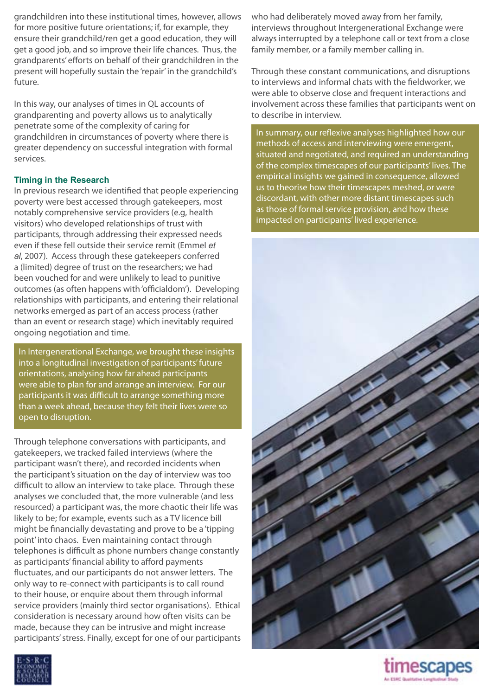grandchildren into these institutional times, however, allows for more positive future orientations; if, for example, they ensure their grandchild/ren get a good education, they will get a good job, and so improve their life chances. Thus, the grandparents' efforts on behalf of their grandchildren in the present will hopefully sustain the 'repair' in the grandchild's future.

In this way, our analyses of times in QL accounts of grandparenting and poverty allows us to analytically penetrate some of the complexity of caring for grandchildren in circumstances of poverty where there is greater dependency on successful integration with formal services.

#### **Timing in the Research**

In previous research we identified that people experiencing poverty were best accessed through gatekeepers, most notably comprehensive service providers (e.g, health visitors) who developed relationships of trust with participants, through addressing their expressed needs even if these fell outside their service remit (Emmel *et al*, 2007). Access through these gatekeepers conferred a (limited) degree of trust on the researchers; we had been vouched for and were unlikely to lead to punitive outcomes (as often happens with 'officialdom'). Developing relationships with participants, and entering their relational networks emerged as part of an access process (rather than an event or research stage) which inevitably required ongoing negotiation and time.

In Intergenerational Exchange, we brought these insights into a longitudinal investigation of participants' future orientations, analysing how far ahead participants were able to plan for and arrange an interview. For our participants it was difficult to arrange something more than a week ahead, because they felt their lives were so open to disruption.

Through telephone conversations with participants, and gatekeepers, we tracked failed interviews (where the participant wasn't there), and recorded incidents when the participant's situation on the day of interview was too difficult to allow an interview to take place. Through these analyses we concluded that, the more vulnerable (and less resourced) a participant was, the more chaotic their life was likely to be; for example, events such as a TV licence bill might be financially devastating and prove to be a 'tipping point' into chaos. Even maintaining contact through telephones is difficult as phone numbers change constantly as participants' financial ability to afford payments fluctuates, and our participants do not answer letters. The only way to re-connect with participants is to call round to their house, or enquire about them through informal service providers (mainly third sector organisations). Ethical consideration is necessary around how often visits can be made, because they can be intrusive and might increase participants'stress. Finally, except for one of our participants

who had deliberately moved away from her family, interviews throughout Intergenerational Exchange were always interrupted by a telephone call or text from a close family member, or a family member calling in.

Through these constant communications, and disruptions to interviews and informal chats with the fieldworker, we were able to observe close and frequent interactions and involvement across these families that participants went on to describe in interview.

In summary, our reflexive analyses highlighted how our methods of access and interviewing were emergent, situated and negotiated, and required an understanding of the complex timescapes of our participants' lives. The empirical insights we gained in consequence, allowed us to theorise how their timescapes meshed, or were discordant, with other more distant timescapes such as those of formal service provision, and how these impacted on participants' lived experience.